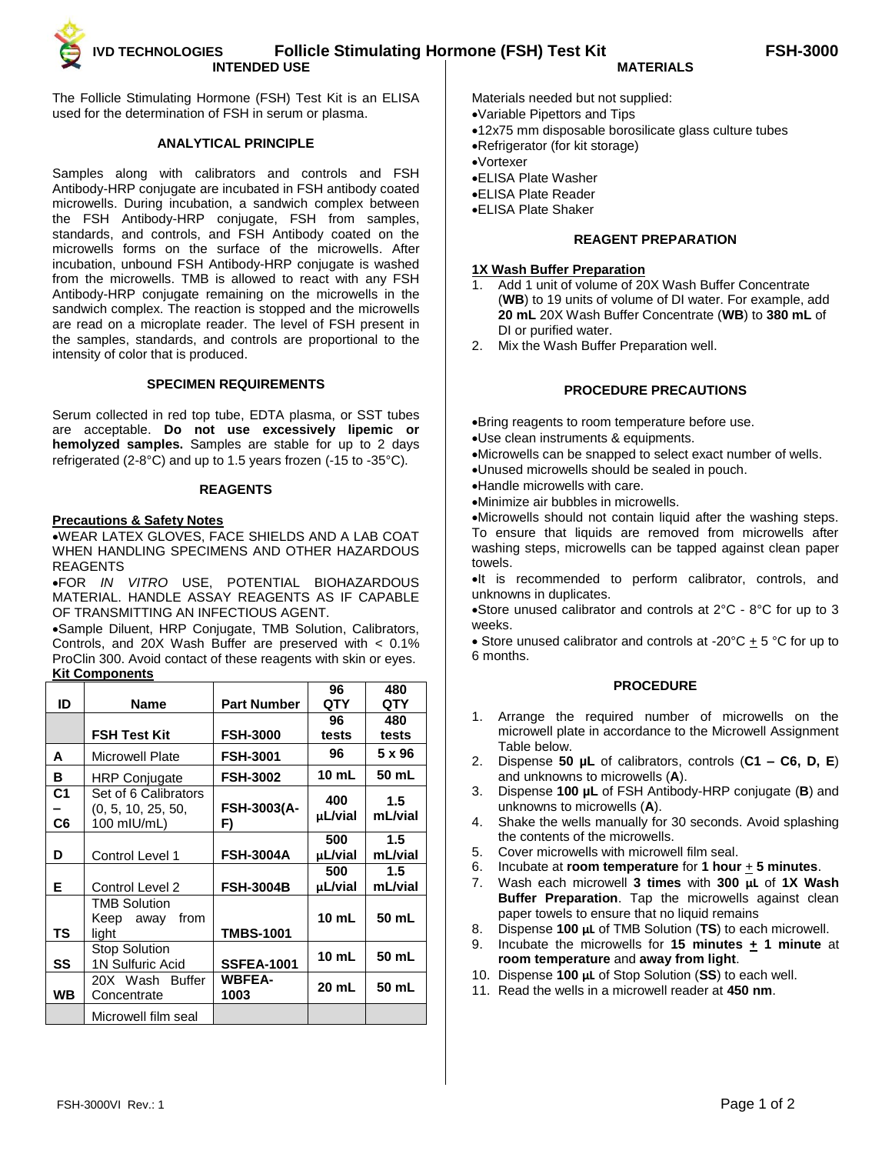The Follicle Stimulating Hormone (FSH) Test Kit is an ELISA used for the determination of FSH in serum or plasma.

# **ANALYTICAL PRINCIPLE**

Samples along with calibrators and controls and FSH Antibody-HRP conjugate are incubated in FSH antibody coated microwells. During incubation, a sandwich complex between the FSH Antibody-HRP conjugate, FSH from samples, standards, and controls, and FSH Antibody coated on the microwells forms on the surface of the microwells. After incubation, unbound FSH Antibody-HRP conjugate is washed from the microwells. TMB is allowed to react with any FSH Antibody-HRP conjugate remaining on the microwells in the sandwich complex. The reaction is stopped and the microwells are read on a microplate reader. The level of FSH present in the samples, standards, and controls are proportional to the intensity of color that is produced.

## **SPECIMEN REQUIREMENTS**

Serum collected in red top tube, EDTA plasma, or SST tubes are acceptable. **Do not use excessively lipemic or hemolyzed samples.** Samples are stable for up to 2 days refrigerated (2-8°C) and up to 1.5 years frozen (-15 to -35°C).

## **REAGENTS**

## **Precautions & Safety Notes**

WEAR LATEX GLOVES, FACE SHIELDS AND A LAB COAT WHEN HANDLING SPECIMENS AND OTHER HAZARDOUS REAGENTS

FOR *IN VITRO* USE, POTENTIAL BIOHAZARDOUS MATERIAL. HANDLE ASSAY REAGENTS AS IF CAPABLE OF TRANSMITTING AN INFECTIOUS AGENT.

Sample Diluent, HRP Conjugate, TMB Solution, Calibrators, Controls, and 20X Wash Buffer are preserved with < 0.1% ProClin 300. Avoid contact of these reagents with skin or eyes. **Kit Components**

|                      |                                                           |                          | 96             | 480            |
|----------------------|-----------------------------------------------------------|--------------------------|----------------|----------------|
| ID                   | Name                                                      | <b>Part Number</b>       | QTY            | QTY            |
|                      |                                                           |                          | 96             | 480            |
|                      | <b>FSH Test Kit</b>                                       | <b>FSH-3000</b>          | tests          | tests          |
| A                    | <b>Microwell Plate</b>                                    | <b>FSH-3001</b>          | 96             | 5 x 96         |
| в                    | <b>HRP Conjugate</b>                                      | <b>FSH-3002</b>          | 10 mL          | 50 mL          |
| C <sub>1</sub><br>C6 | Set of 6 Calibrators<br>(0, 5, 10, 25, 50,<br>100 mIU/mL) | <b>FSH-3003(A-</b><br>F) | 400<br>µL/vial | 1.5<br>mL/vial |
| D                    | Control Level 1                                           | <b>FSH-3004A</b>         | 500<br>µL/vial | 1.5<br>mL/vial |
| Е                    | Control Level 2                                           | <b>FSH-3004B</b>         | 500<br>µL/vial | 1.5<br>mL/vial |
| ΤS                   | <b>TMB Solution</b><br>from<br>Keep away<br>light         | <b>TMBS-1001</b>         | 10 mL          | 50 mL          |
| SS                   | <b>Stop Solution</b><br>1N Sulfuric Acid                  | <b>SSFEA-1001</b>        | 10 mL          | 50 mL          |
| WВ                   | 20X Wash Buffer<br>Concentrate                            | <b>WBFEA-</b><br>1003    | 20 mL          | 50 mL          |
|                      | Microwell film seal                                       |                          |                |                |

- Materials needed but not supplied:
- Variable Pipettors and Tips
- 12x75 mm disposable borosilicate glass culture tubes
- Refrigerator (for kit storage)
- Vortexer
- ELISA Plate Washer
- ELISA Plate Reader
- ELISA Plate Shaker

## **REAGENT PREPARATION**

#### **1X Wash Buffer Preparation**

- Add 1 unit of volume of 20X Wash Buffer Concentrate (**WB**) to 19 units of volume of DI water. For example, add **20 mL** 20X Wash Buffer Concentrate (**WB**) to **380 mL** of DI or purified water.
- 2. Mix the Wash Buffer Preparation well.

## **PROCEDURE PRECAUTIONS**

Bring reagents to room temperature before use.

Use clean instruments & equipments.

Microwells can be snapped to select exact number of wells.

Unused microwells should be sealed in pouch.

Handle microwells with care.

Minimize air bubbles in microwells.

Microwells should not contain liquid after the washing steps. To ensure that liquids are removed from microwells after washing steps, microwells can be tapped against clean paper towels.

 $\bullet$ It is recommended to perform calibrator, controls, and unknowns in duplicates.

Store unused calibrator and controls at 2°C - 8°C for up to 3 weeks.

• Store unused calibrator and controls at -20 $^{\circ}$ C  $\pm$  5  $^{\circ}$ C for up to 6 months.

## **PROCEDURE**

- 1. Arrange the required number of microwells on the microwell plate in accordance to the Microwell Assignment Table below.
- 2. Dispense **50 µL** of calibrators, controls (**C1 – C6, D, E**) and unknowns to microwells (**A**).
- 3. Dispense **100 µL** of FSH Antibody-HRP conjugate (**B**) and unknowns to microwells (**A**).
- 4. Shake the wells manually for 30 seconds. Avoid splashing the contents of the microwells.
- 
- 5. Cover microwells with microwell film seal.<br>6. Incubate at room temperature for 1 hour Incubate at **room temperature** for **1** hour  $+$  **5** minutes.
- 7. Wash each microwell **3 times** with **300 μL** of **1X Wash Buffer Preparation**. Tap the microwells against clean paper towels to ensure that no liquid remains
- 8. Dispense **100 μL** of TMB Solution (**TS**) to each microwell.
- Incubate the microwells for **15 minutes**  $\pm$  **1 minute** at **room temperature** and **away from light**.
- 10. Dispense **100 μL** of Stop Solution (**SS**) to each well.
- 11. Read the wells in a microwell reader at **450 nm**.